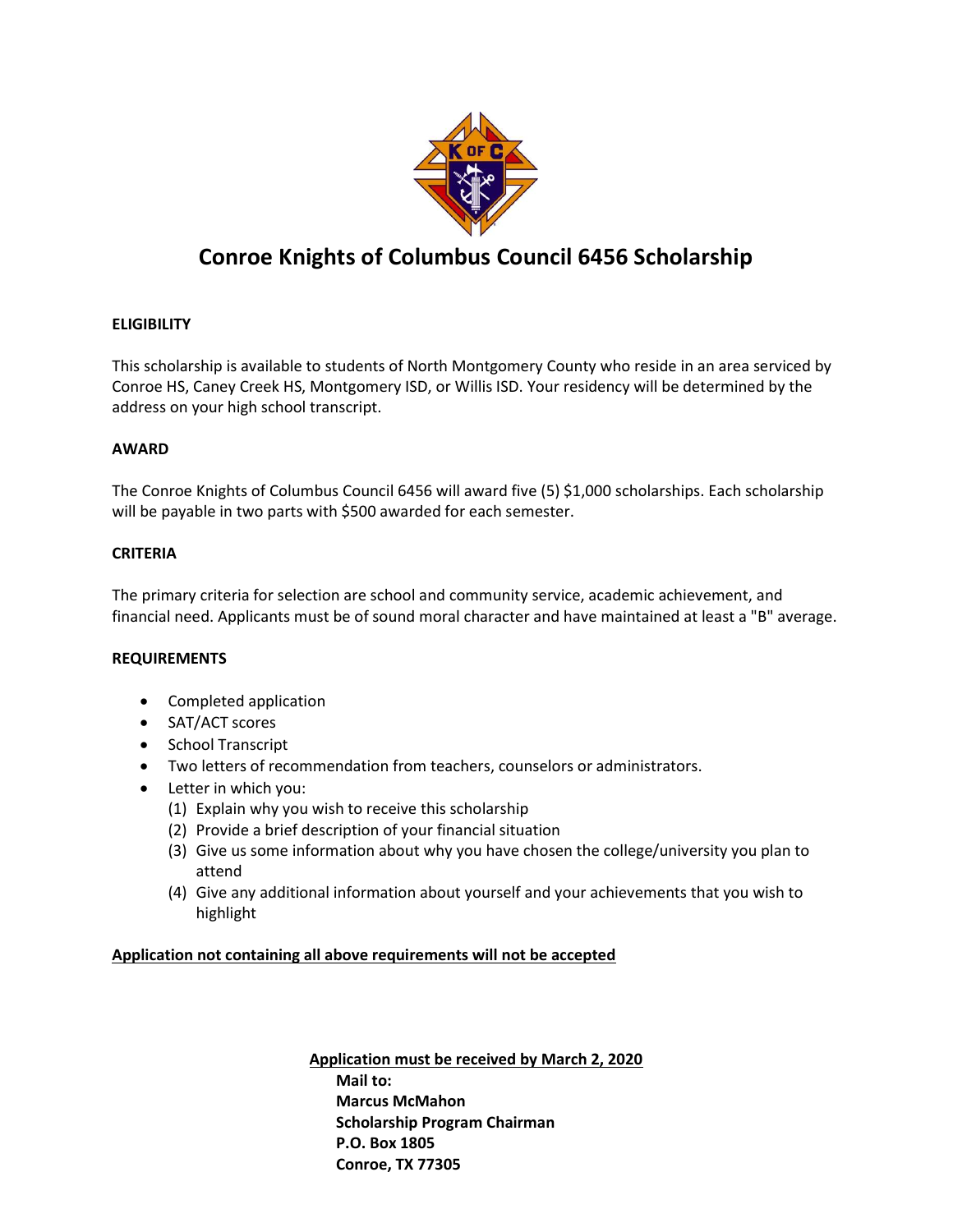

# Conroe Knights of Columbus Council 6456 Scholarship

## **ELIGIBILITY**

This scholarship is available to students of North Montgomery County who reside in an area serviced by Conroe HS, Caney Creek HS, Montgomery ISD, or Willis ISD. Your residency will be determined by the address on your high school transcript.

### AWARD

The Conroe Knights of Columbus Council 6456 will award five (5) \$1,000 scholarships. Each scholarship will be payable in two parts with \$500 awarded for each semester.

### CRITERIA

The primary criteria for selection are school and community service, academic achievement, and financial need. Applicants must be of sound moral character and have maintained at least a "B" average.

#### REQUIREMENTS

- Completed application
- SAT/ACT scores
- School Transcript
- Two letters of recommendation from teachers, counselors or administrators.
- Letter in which you:
	- (1) Explain why you wish to receive this scholarship
	- (2) Provide a brief description of your financial situation
	- (3) Give us some information about why you have chosen the college/university you plan to attend
	- (4) Give any additional information about yourself and your achievements that you wish to highlight

#### Application not containing all above requirements will not be accepted

Application must be received by March 2, 2020 Mail to: Marcus McMahon Scholarship Program Chairman P.O. Box 1805 Conroe, TX 77305